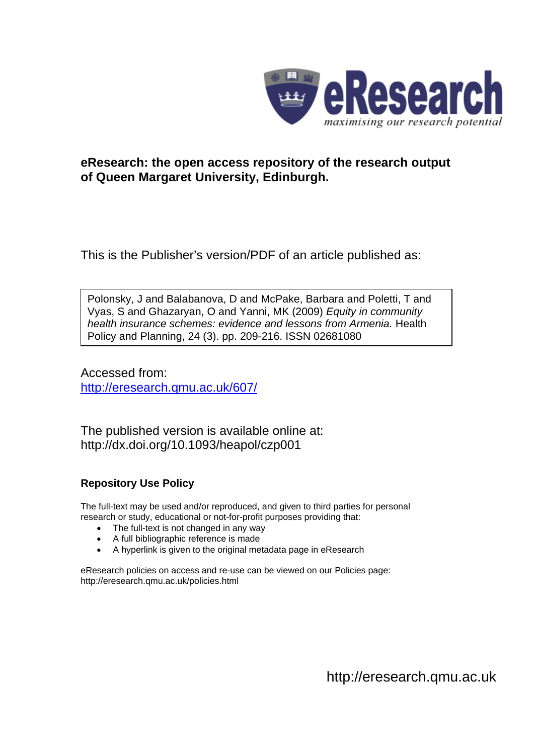

# **eResearch: the open access repository of the research output of Queen Margaret University, Edinburgh.**

This is the Publisher's version/PDF of an article published as:

Polonsky, J and Balabanova, D and McPake, Barbara and Poletti, T and Vyas, S and Ghazaryan, O and Yanni, MK (2009) *Equity in community health insurance schemes: evidence and lessons from Armenia.* Health Policy and Planning, 24 (3). pp. 209-216. ISSN 02681080

Accessed from: <http://eresearch.qmu.ac.uk/607/>

The published version is available online at: http://dx.doi.org/10.1093/heapol/czp001

# **Repository Use Policy**

The full-text may be used and/or reproduced, and given to third parties for personal research or study, educational or not-for-profit purposes providing that:

- The full-text is not changed in any way
- A full bibliographic reference is made
- A hyperlink is given to the original metadata page in eResearch

eResearch policies on access and re-use can be viewed on our Policies page: <http://eresearch.qmu.ac.uk/policies.html>

[http://eresearch.qmu.ac.uk](http://eresearch.qmu.ac.uk/)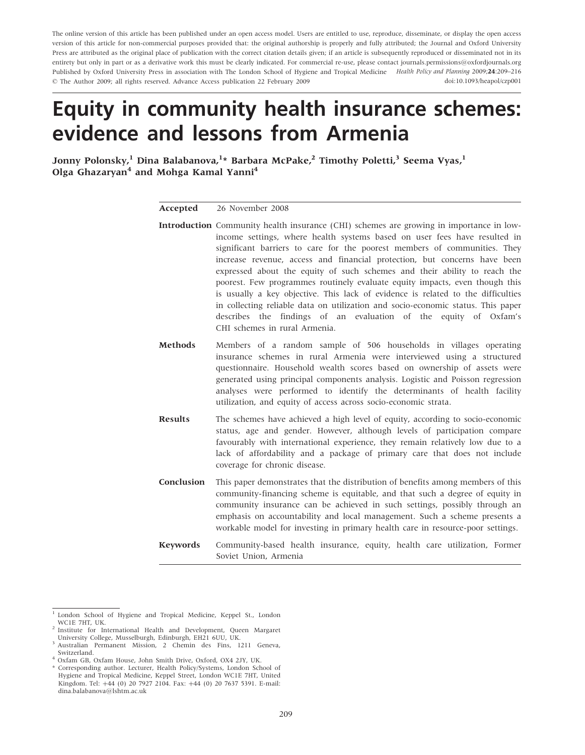The online version of this article has been published under an open access model. Users are entitled to use, reproduce, disseminate, or display the open access version of this article for non-commercial purposes provided that: the original authorship is properly and fully attributed; the Journal and Oxford University Press are attributed as the original place of publication with the correct citation details given; if an article is subsequently reproduced or disseminated not in its entirety but only in part or as a derivative work this must be clearly indicated. For commercial re-use, please contact journals.permissions@oxfordjournals.org Published by Oxford University Press in association with The London School of Hygiene and Tropical Medicine Health Policy and Planning 2009;24:209–216 The Author 2009; all rights reserved. Advance Access publication 22 February 2009 doi:10.1093/heapol/czp001

# Equity in community health insurance schemes: evidence and lessons from Armenia

Jonny Polonsky, <sup>1</sup> Dina Balabanova, <sup>1</sup>\* Barbara McPake, <sup>2</sup> Timothy Poletti, <sup>3</sup> Seema Vyas, <sup>1</sup> Olga Ghazaryan<sup>4</sup> and Mohga Kamal Yanni<sup>4</sup>

| Accepted       | 26 November 2008                                                                                                                                                                                                                                                                                                                                                                                                                                                                                                                                                                                                                                                                                                                                                               |
|----------------|--------------------------------------------------------------------------------------------------------------------------------------------------------------------------------------------------------------------------------------------------------------------------------------------------------------------------------------------------------------------------------------------------------------------------------------------------------------------------------------------------------------------------------------------------------------------------------------------------------------------------------------------------------------------------------------------------------------------------------------------------------------------------------|
|                | <b>Introduction</b> Community health insurance (CHI) schemes are growing in importance in low-<br>income settings, where health systems based on user fees have resulted in<br>significant barriers to care for the poorest members of communities. They<br>increase revenue, access and financial protection, but concerns have been<br>expressed about the equity of such schemes and their ability to reach the<br>poorest. Few programmes routinely evaluate equity impacts, even though this<br>is usually a key objective. This lack of evidence is related to the difficulties<br>in collecting reliable data on utilization and socio-economic status. This paper<br>describes the findings of an evaluation of the equity of Oxfam's<br>CHI schemes in rural Armenia. |
| <b>Methods</b> | Members of a random sample of 506 households in villages operating<br>insurance schemes in rural Armenia were interviewed using a structured<br>questionnaire. Household wealth scores based on ownership of assets were<br>generated using principal components analysis. Logistic and Poisson regression<br>analyses were performed to identify the determinants of health facility<br>utilization, and equity of access across socio-economic strata.                                                                                                                                                                                                                                                                                                                       |
| <b>Results</b> | The schemes have achieved a high level of equity, according to socio-economic<br>status, age and gender. However, although levels of participation compare<br>favourably with international experience, they remain relatively low due to a<br>lack of affordability and a package of primary care that does not include<br>coverage for chronic disease.                                                                                                                                                                                                                                                                                                                                                                                                                      |
| Conclusion     | This paper demonstrates that the distribution of benefits among members of this<br>community-financing scheme is equitable, and that such a degree of equity in<br>community insurance can be achieved in such settings, possibly through an<br>emphasis on accountability and local management. Such a scheme presents a<br>workable model for investing in primary health care in resource-poor settings.                                                                                                                                                                                                                                                                                                                                                                    |
| Keywords       | Community-based health insurance, equity, health care utilization, Former<br>Soviet Union, Armenia                                                                                                                                                                                                                                                                                                                                                                                                                                                                                                                                                                                                                                                                             |

 $1$  London School of Hygiene and Tropical Medicine, Keppel St., London WC1E 7HT. UK.

Institute for International Health and Development, Queen Margaret<br>University College, Musselburgh, Edinburgh, EH21 6UU, UK.

Australian Permanent Mission, 2 Chemin des Fins, 1211 Geneva, Switzerland. <sup>4</sup> Oxfam GB, Oxfam House, John Smith Drive, Oxford, OX4 2JY, UK.

Corresponding author. Lecturer, Health Policy/Systems, London School of Hygiene and Tropical Medicine, Keppel Street, London WC1E 7HT, United Kingdom. Tel: +44 (0) 20 7927 2104. Fax: +44 (0) 20 7637 5391. E-mail: dina.balabanova@lshtm.ac.uk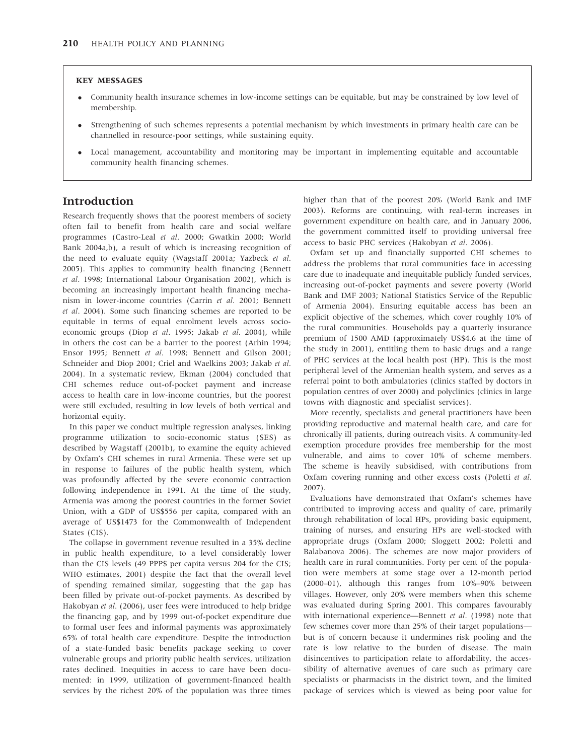#### KEY MESSAGES

- Community health insurance schemes in low-income settings can be equitable, but may be constrained by low level of membership.
- Strengthening of such schemes represents a potential mechanism by which investments in primary health care can be channelled in resource-poor settings, while sustaining equity.
- Local management, accountability and monitoring may be important in implementing equitable and accountable community health financing schemes.

## Introduction

Research frequently shows that the poorest members of society often fail to benefit from health care and social welfare programmes (Castro-Leal et al. 2000; Gwatkin 2000; World Bank 2004a,b), a result of which is increasing recognition of the need to evaluate equity (Wagstaff 2001a; Yazbeck et al. 2005). This applies to community health financing (Bennett et al. 1998; International Labour Organisation 2002), which is becoming an increasingly important health financing mechanism in lower-income countries (Carrin et al. 2001; Bennett et al. 2004). Some such financing schemes are reported to be equitable in terms of equal enrolment levels across socioeconomic groups (Diop et al. 1995; Jakab et al. 2004), while in others the cost can be a barrier to the poorest (Arhin 1994; Ensor 1995; Bennett et al. 1998; Bennett and Gilson 2001; Schneider and Diop 2001; Criel and Waelkins 2003; Jakab et al. 2004). In a systematic review, Ekman (2004) concluded that CHI schemes reduce out-of-pocket payment and increase access to health care in low-income countries, but the poorest were still excluded, resulting in low levels of both vertical and horizontal equity.

In this paper we conduct multiple regression analyses, linking programme utilization to socio-economic status (SES) as described by Wagstaff (2001b), to examine the equity achieved by Oxfam's CHI schemes in rural Armenia. These were set up in response to failures of the public health system, which was profoundly affected by the severe economic contraction following independence in 1991. At the time of the study, Armenia was among the poorest countries in the former Soviet Union, with a GDP of US\$556 per capita, compared with an average of US\$1473 for the Commonwealth of Independent States (CIS).

The collapse in government revenue resulted in a 35% decline in public health expenditure, to a level considerably lower than the CIS levels (49 PPP\$ per capita versus 204 for the CIS; WHO estimates, 2001) despite the fact that the overall level of spending remained similar, suggesting that the gap has been filled by private out-of-pocket payments. As described by Hakobyan et al. (2006), user fees were introduced to help bridge the financing gap, and by 1999 out-of-pocket expenditure due to formal user fees and informal payments was approximately 65% of total health care expenditure. Despite the introduction of a state-funded basic benefits package seeking to cover vulnerable groups and priority public health services, utilization rates declined. Inequities in access to care have been documented: in 1999, utilization of government-financed health services by the richest 20% of the population was three times higher than that of the poorest 20% (World Bank and IMF 2003). Reforms are continuing, with real-term increases in government expenditure on health care, and in January 2006, the government committed itself to providing universal free access to basic PHC services (Hakobyan et al. 2006).

Oxfam set up and financially supported CHI schemes to address the problems that rural communities face in accessing care due to inadequate and inequitable publicly funded services, increasing out-of-pocket payments and severe poverty (World Bank and IMF 2003; National Statistics Service of the Republic of Armenia 2004). Ensuring equitable access has been an explicit objective of the schemes, which cover roughly 10% of the rural communities. Households pay a quarterly insurance premium of 1500 AMD (approximately US\$4.6 at the time of the study in 2001), entitling them to basic drugs and a range of PHC services at the local health post (HP). This is the most peripheral level of the Armenian health system, and serves as a referral point to both ambulatories (clinics staffed by doctors in population centres of over 2000) and polyclinics (clinics in large towns with diagnostic and specialist services).

More recently, specialists and general practitioners have been providing reproductive and maternal health care, and care for chronically ill patients, during outreach visits. A community-led exemption procedure provides free membership for the most vulnerable, and aims to cover 10% of scheme members. The scheme is heavily subsidised, with contributions from Oxfam covering running and other excess costs (Poletti et al. 2007).

Evaluations have demonstrated that Oxfam's schemes have contributed to improving access and quality of care, primarily through rehabilitation of local HPs, providing basic equipment, training of nurses, and ensuring HPs are well-stocked with appropriate drugs (Oxfam 2000; Sloggett 2002; Poletti and Balabanova 2006). The schemes are now major providers of health care in rural communities. Forty per cent of the population were members at some stage over a 12-month period (2000–01), although this ranges from 10%–90% between villages. However, only 20% were members when this scheme was evaluated during Spring 2001. This compares favourably with international experience—Bennett et al. (1998) note that few schemes cover more than 25% of their target populations but is of concern because it undermines risk pooling and the rate is low relative to the burden of disease. The main disincentives to participation relate to affordability, the accessibility of alternative avenues of care such as primary care specialists or pharmacists in the district town, and the limited package of services which is viewed as being poor value for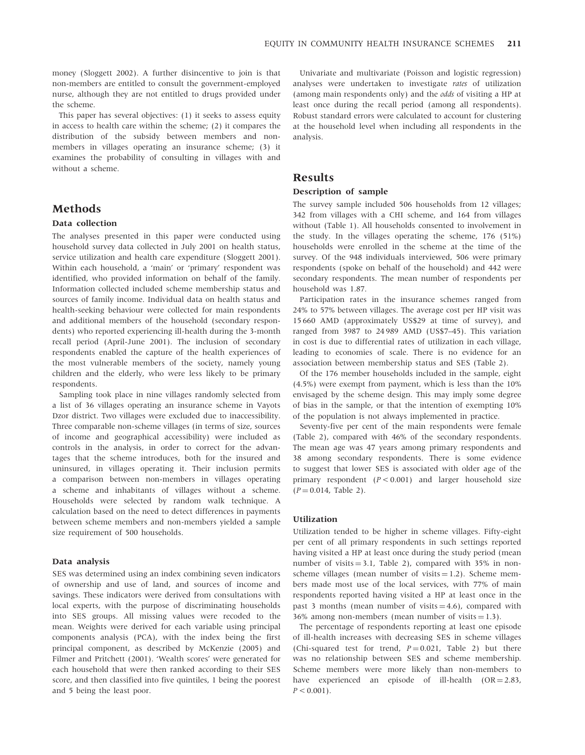money (Sloggett 2002). A further disincentive to join is that non-members are entitled to consult the government-employed nurse, although they are not entitled to drugs provided under the scheme.

This paper has several objectives: (1) it seeks to assess equity in access to health care within the scheme; (2) it compares the distribution of the subsidy between members and nonmembers in villages operating an insurance scheme; (3) it examines the probability of consulting in villages with and without a scheme.

# **Methods**

### Data collection

The analyses presented in this paper were conducted using household survey data collected in July 2001 on health status, service utilization and health care expenditure (Sloggett 2001). Within each household, a 'main' or 'primary' respondent was identified, who provided information on behalf of the family. Information collected included scheme membership status and sources of family income. Individual data on health status and health-seeking behaviour were collected for main respondents and additional members of the household (secondary respondents) who reported experiencing ill-health during the 3-month recall period (April-June 2001). The inclusion of secondary respondents enabled the capture of the health experiences of the most vulnerable members of the society, namely young children and the elderly, who were less likely to be primary respondents.

Sampling took place in nine villages randomly selected from a list of 36 villages operating an insurance scheme in Vayots Dzor district. Two villages were excluded due to inaccessibility. Three comparable non-scheme villages (in terms of size, sources of income and geographical accessibility) were included as controls in the analysis, in order to correct for the advantages that the scheme introduces, both for the insured and uninsured, in villages operating it. Their inclusion permits a comparison between non-members in villages operating a scheme and inhabitants of villages without a scheme. Households were selected by random walk technique. A calculation based on the need to detect differences in payments between scheme members and non-members yielded a sample size requirement of 500 households.

### Data analysis

SES was determined using an index combining seven indicators of ownership and use of land, and sources of income and savings. These indicators were derived from consultations with local experts, with the purpose of discriminating households into SES groups. All missing values were recoded to the mean. Weights were derived for each variable using principal components analysis (PCA), with the index being the first principal component, as described by McKenzie (2005) and Filmer and Pritchett (2001). 'Wealth scores' were generated for each household that were then ranked according to their SES score, and then classified into five quintiles, 1 being the poorest and 5 being the least poor.

Univariate and multivariate (Poisson and logistic regression) analyses were undertaken to investigate rates of utilization (among main respondents only) and the odds of visiting a HP at least once during the recall period (among all respondents). Robust standard errors were calculated to account for clustering at the household level when including all respondents in the analysis.

# Results

#### Description of sample

The survey sample included 506 households from 12 villages; 342 from villages with a CHI scheme, and 164 from villages without (Table 1). All households consented to involvement in the study. In the villages operating the scheme, 176 (51%) households were enrolled in the scheme at the time of the survey. Of the 948 individuals interviewed, 506 were primary respondents (spoke on behalf of the household) and 442 were secondary respondents. The mean number of respondents per household was 1.87.

Participation rates in the insurance schemes ranged from 24% to 57% between villages. The average cost per HP visit was 15 660 AMD (approximately US\$29 at time of survey), and ranged from 3987 to 24 989 AMD (US\$7–45). This variation in cost is due to differential rates of utilization in each village, leading to economies of scale. There is no evidence for an association between membership status and SES (Table 2).

Of the 176 member households included in the sample, eight (4.5%) were exempt from payment, which is less than the 10% envisaged by the scheme design. This may imply some degree of bias in the sample, or that the intention of exempting 10% of the population is not always implemented in practice.

Seventy-five per cent of the main respondents were female (Table 2), compared with 46% of the secondary respondents. The mean age was 47 years among primary respondents and 38 among secondary respondents. There is some evidence to suggest that lower SES is associated with older age of the primary respondent  $(P < 0.001)$  and larger household size  $(P = 0.014,$  Table 2).

#### Utilization

Utilization tended to be higher in scheme villages. Fifty-eight per cent of all primary respondents in such settings reported having visited a HP at least once during the study period (mean number of visits  $= 3.1$ , Table 2), compared with 35% in nonscheme villages (mean number of visits  $= 1.2$ ). Scheme members made most use of the local services, with 77% of main respondents reported having visited a HP at least once in the past 3 months (mean number of visits  $=$  4.6), compared with 36% among non-members (mean number of visits  $= 1.3$ ).

The percentage of respondents reporting at least one episode of ill-health increases with decreasing SES in scheme villages (Chi-squared test for trend,  $P = 0.021$ , Table 2) but there was no relationship between SES and scheme membership. Scheme members were more likely than non-members to have experienced an episode of ill-health  $(OR = 2.83,$  $P < 0.001$ ).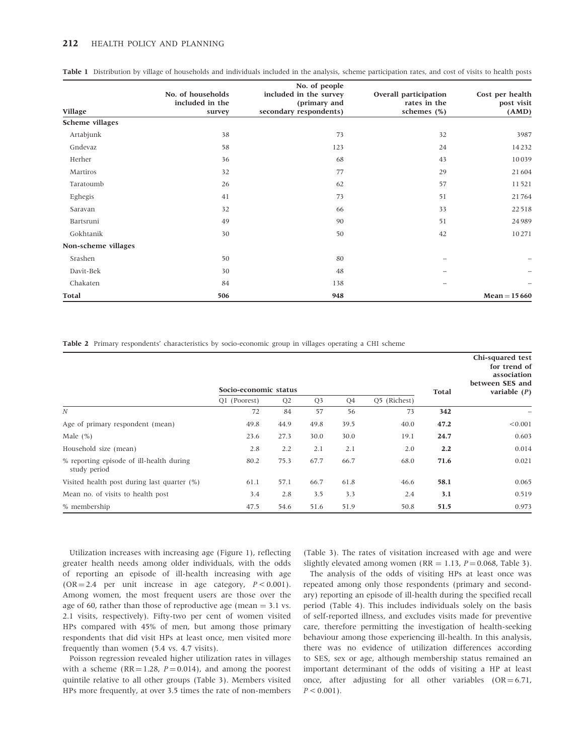#### 212 **HEALTH POLICY AND PLANNING**

| Village             | No. of households<br>included in the<br>survey | No. of people<br>included in the survey<br>(primary and<br>secondary respondents) | Overall participation<br>rates in the<br>schemes (%) | Cost per health<br>post visit<br>(AMD) |
|---------------------|------------------------------------------------|-----------------------------------------------------------------------------------|------------------------------------------------------|----------------------------------------|
| Scheme villages     |                                                |                                                                                   |                                                      |                                        |
| Artabjunk           | 38                                             | 73                                                                                | 32                                                   | 3987                                   |
| Gndevaz             | 58                                             | 123                                                                               | 24                                                   | 14232                                  |
| Herher              | 36                                             | 68                                                                                | 43                                                   | 10039                                  |
| Martiros            | 32                                             | 77                                                                                | 29                                                   | 21604                                  |
| Taratoumb           | 26                                             | 62                                                                                | 57                                                   | 11521                                  |
| Eghegis             | 41                                             | 73                                                                                | 51                                                   | 21764                                  |
| Saravan             | 32                                             | 66                                                                                | 33                                                   | 22518                                  |
| Bartsruni           | 49                                             | 90                                                                                | 51                                                   | 24989                                  |
| Gokhtanik           | 30                                             | 50                                                                                | 42                                                   | 10271                                  |
| Non-scheme villages |                                                |                                                                                   |                                                      |                                        |
| Srashen             | 50                                             | 80                                                                                | $\overline{\phantom{0}}$                             |                                        |
| Davit-Bek           | 30                                             | 48                                                                                |                                                      |                                        |
| Chakaten            | 84                                             | 138                                                                               | $\overline{\phantom{0}}$                             |                                        |
| Total               | 506                                            | 948                                                                               |                                                      | $Mean = 15660$                         |

|  |  | <b>Table 1</b> Distribution by village of households and individuals included in the analysis, scheme participation rates, and cost of visits to health posts |
|--|--|---------------------------------------------------------------------------------------------------------------------------------------------------------------|
|  |  |                                                                                                                                                               |

Table 2 Primary respondents' characteristics by socio-economic group in villages operating a CHI scheme

|                                                          | Socio-economic status |                |                |      |              | Total | Chi-squared test<br>for trend of<br>association<br>between SES and<br>variable $(P)$ |
|----------------------------------------------------------|-----------------------|----------------|----------------|------|--------------|-------|--------------------------------------------------------------------------------------|
|                                                          | Q1 (Poorest)          | Q <sub>2</sub> | Q <sub>3</sub> | Q4   | Q5 (Richest) |       |                                                                                      |
| $\boldsymbol{N}$                                         | 72                    | 84             | 57             | 56   | 73           | 342   | $\qquad \qquad$                                                                      |
| Age of primary respondent (mean)                         | 49.8                  | 44.9           | 49.8           | 39.5 | 40.0         | 47.2  | < 0.001                                                                              |
| Male $(\%)$                                              | 23.6                  | 27.3           | 30.0           | 30.0 | 19.1         | 24.7  | 0.603                                                                                |
| Household size (mean)                                    | 2.8                   | 2.2            | 2.1            | 2.1  | 2.0          | 2.2   | 0.014                                                                                |
| % reporting episode of ill-health during<br>study period | 80.2                  | 75.3           | 67.7           | 66.7 | 68.0         | 71.6  | 0.021                                                                                |
| Visited health post during last quarter (%)              | 61.1                  | 57.1           | 66.7           | 61.8 | 46.6         | 58.1  | 0.065                                                                                |
| Mean no. of visits to health post                        | 3.4                   | 2.8            | 3.5            | 3.3  | 2.4          | 3.1   | 0.519                                                                                |
| % membership                                             | 47.5                  | 54.6           | 51.6           | 51.9 | 50.8         | 51.5  | 0.973                                                                                |

Utilization increases with increasing age (Figure 1), reflecting greater health needs among older individuals, with the odds of reporting an episode of ill-health increasing with age  $(OR = 2.4$  per unit increase in age category,  $P < 0.001$ ). Among women, the most frequent users are those over the age of 60, rather than those of reproductive age (mean  $=$  3.1 vs. 2.1 visits, respectively). Fifty-two per cent of women visited HPs compared with 45% of men, but among those primary respondents that did visit HPs at least once, men visited more frequently than women (5.4 vs. 4.7 visits).

Poisson regression revealed higher utilization rates in villages with a scheme ( $RR = 1.28$ ,  $P = 0.014$ ), and among the poorest quintile relative to all other groups (Table 3). Members visited HPs more frequently, at over 3.5 times the rate of non-members (Table 3). The rates of visitation increased with age and were slightly elevated among women (RR = 1.13,  $P = 0.068$ , Table 3).

The analysis of the odds of visiting HPs at least once was repeated among only those respondents (primary and secondary) reporting an episode of ill-health during the specified recall period (Table 4). This includes individuals solely on the basis of self-reported illness, and excludes visits made for preventive care, therefore permitting the investigation of health-seeking behaviour among those experiencing ill-health. In this analysis, there was no evidence of utilization differences according to SES, sex or age, although membership status remained an important determinant of the odds of visiting a HP at least once, after adjusting for all other variables  $(OR = 6.71,$  $P < 0.001$ ).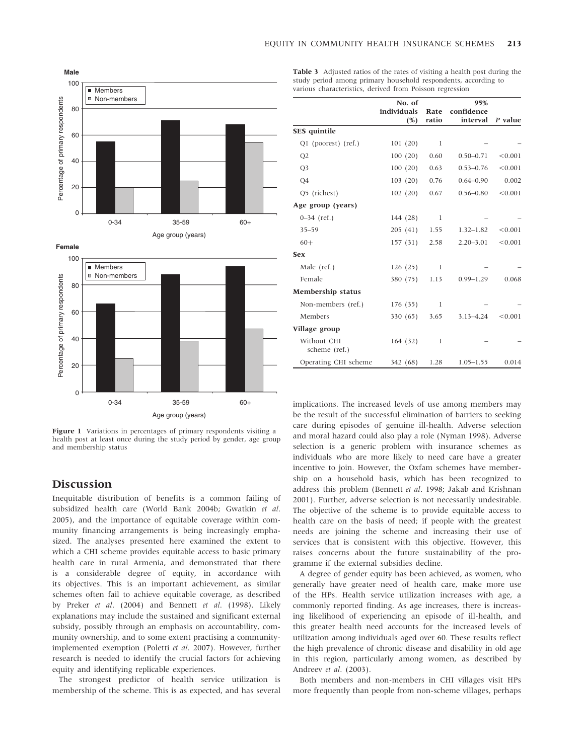

Figure 1 Variations in percentages of primary respondents visiting a health post at least once during the study period by gender, age group and membership status

# Discussion

Inequitable distribution of benefits is a common failing of subsidized health care (World Bank 2004b; Gwatkin et al. 2005), and the importance of equitable coverage within community financing arrangements is being increasingly emphasized. The analyses presented here examined the extent to which a CHI scheme provides equitable access to basic primary health care in rural Armenia, and demonstrated that there is a considerable degree of equity, in accordance with its objectives. This is an important achievement, as similar schemes often fail to achieve equitable coverage, as described by Preker et al. (2004) and Bennett et al. (1998). Likely explanations may include the sustained and significant external subsidy, possibly through an emphasis on accountability, community ownership, and to some extent practising a communityimplemented exemption (Poletti et al. 2007). However, further research is needed to identify the crucial factors for achieving equity and identifying replicable experiences.

The strongest predictor of health service utilization is membership of the scheme. This is as expected, and has several Table 3 Adjusted ratios of the rates of visiting a health post during the study period among primary household respondents, according to various characteristics, derived from Poisson regression

|                              | No. of      |       | 95%           |         |  |
|------------------------------|-------------|-------|---------------|---------|--|
|                              | individuals | Rate  | confidence    |         |  |
|                              | (%)         | ratio | interval      | P value |  |
| <b>SES</b> quintile          |             |       |               |         |  |
| Q1 (poorest) (ref.)          | 101(20)     | 1     |               |         |  |
| Q2                           | 100(20)     | 0.60  | $0.50 - 0.71$ | < 0.001 |  |
| Q <sub>3</sub>               | 100(20)     | 0.63  | $0.53 - 0.76$ | < 0.001 |  |
| Q4                           | 103(20)     | 0.76  | $0.64 - 0.90$ | 0.002   |  |
| Q5 (richest)                 | 102(20)     | 0.67  | $0.56 - 0.80$ | < 0.001 |  |
| Age group (years)            |             |       |               |         |  |
| $0-34$ (ref.)                | 144 (28)    | 1     |               |         |  |
| $35 - 59$                    | 205(41)     | 1.55  | $1.32 - 1.82$ | < 0.001 |  |
| $60+$                        | 157(31)     | 2.58  | $2.20 - 3.01$ | < 0.001 |  |
| <b>Sex</b>                   |             |       |               |         |  |
| Male (ref.)                  | 126(25)     | 1     |               |         |  |
| Female                       | 380 (75)    | 1.13  | $0.99 - 1.29$ | 0.068   |  |
| Membership status            |             |       |               |         |  |
| Non-members (ref.)           | 176 (35)    | 1     |               |         |  |
| Members                      | 330 (65)    | 3.65  | $3.13 - 4.24$ | < 0.001 |  |
| Village group                |             |       |               |         |  |
| Without CHI<br>scheme (ref.) | 164(32)     | 1     |               |         |  |
| Operating CHI scheme         | 342 (68)    | 1.28  | $1.05 - 1.55$ | 0.014   |  |

implications. The increased levels of use among members may be the result of the successful elimination of barriers to seeking care during episodes of genuine ill-health. Adverse selection and moral hazard could also play a role (Nyman 1998). Adverse selection is a generic problem with insurance schemes as individuals who are more likely to need care have a greater incentive to join. However, the Oxfam schemes have membership on a household basis, which has been recognized to address this problem (Bennett et al. 1998; Jakab and Krishnan 2001). Further, adverse selection is not necessarily undesirable. The objective of the scheme is to provide equitable access to health care on the basis of need; if people with the greatest needs are joining the scheme and increasing their use of services that is consistent with this objective. However, this raises concerns about the future sustainability of the programme if the external subsidies decline.

A degree of gender equity has been achieved, as women, who generally have greater need of health care, make more use of the HPs. Health service utilization increases with age, a commonly reported finding. As age increases, there is increasing likelihood of experiencing an episode of ill-health, and this greater health need accounts for the increased levels of utilization among individuals aged over 60. These results reflect the high prevalence of chronic disease and disability in old age in this region, particularly among women, as described by Andreev et al. (2003).

Both members and non-members in CHI villages visit HPs more frequently than people from non-scheme villages, perhaps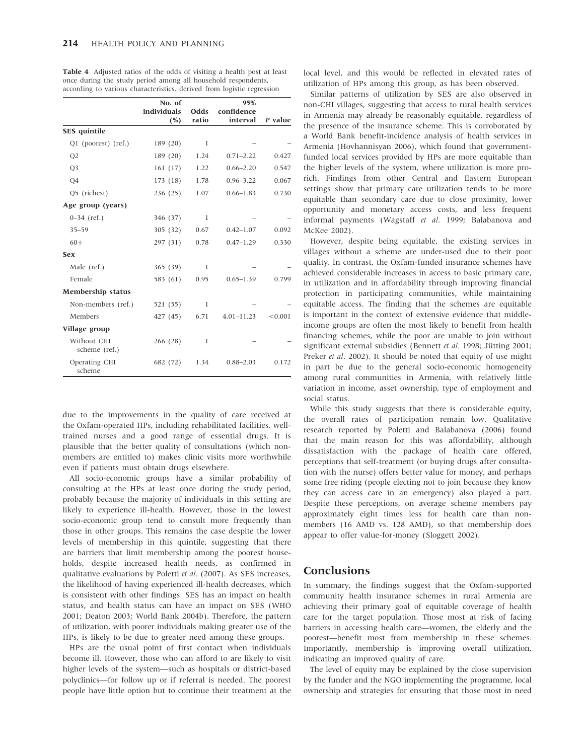|                              | No. of      |              | 95%            |         |
|------------------------------|-------------|--------------|----------------|---------|
|                              | individuals | Odds         | confidence     |         |
|                              | (%)         | ratio        | interval       | P value |
| SES quintile                 |             |              |                |         |
| Q1 (poorest) (ref.)          | 189(20)     | $\mathbf{I}$ |                |         |
| Q <sub>2</sub>               | 189(20)     | 1.24         | $0.71 - 2.22$  | 0.427   |
| Q <sub>3</sub>               | 161(17)     | 1.22         | $0.66 - 2.20$  | 0.547   |
| Q4                           | 173(18)     | 1.78         | $0.96 - 3.22$  | 0.067   |
| Q5 (richest)                 | 236(25)     | 1.07         | $0.66 - 1.83$  | 0.730   |
| Age group (years)            |             |              |                |         |
| $0 - 34$ (ref.)              | 346 (37)    | $\mathbf{I}$ |                |         |
| $35 - 59$                    | 305 (32)    | 0.67         | $0.42 - 1.07$  | 0.092   |
| $60+$                        | 297(31)     | 0.78         | $0.47 - 1.29$  | 0.330   |
| <b>Sex</b>                   |             |              |                |         |
| Male (ref.)                  | 365(39)     | 1            |                |         |
| Female                       | 583 (61)    | 0.95         | $0.65 - 1.39$  | 0.799   |
| Membership status            |             |              |                |         |
| Non-members (ref.)           | 521 (55)    | 1            |                |         |
| Members                      | 427 (45)    | 6.71         | $4.01 - 11.23$ | < 0.001 |
| Village group                |             |              |                |         |
| Without CHI<br>scheme (ref.) | 266(28)     | 1            |                |         |
| Operating CHI<br>scheme      | 682 (72)    | 1.34         | $0.88 - 2.03$  | 0.172   |

Table 4 Adjusted ratios of the odds of visiting a health post at least once during the study period among all household respondents, according to various characteristics, derived from logistic regression

due to the improvements in the quality of care received at the Oxfam-operated HPs, including rehabilitated facilities, welltrained nurses and a good range of essential drugs. It is plausible that the better quality of consultations (which nonmembers are entitled to) makes clinic visits more worthwhile even if patients must obtain drugs elsewhere.

All socio-economic groups have a similar probability of consulting at the HPs at least once during the study period, probably because the majority of individuals in this setting are likely to experience ill-health. However, those in the lowest socio-economic group tend to consult more frequently than those in other groups. This remains the case despite the lower levels of membership in this quintile, suggesting that there are barriers that limit membership among the poorest households, despite increased health needs, as confirmed in qualitative evaluations by Poletti et al. (2007). As SES increases, the likelihood of having experienced ill-health decreases, which is consistent with other findings. SES has an impact on health status, and health status can have an impact on SES (WHO 2001; Deaton 2003; World Bank 2004b). Therefore, the pattern of utilization, with poorer individuals making greater use of the HPs, is likely to be due to greater need among these groups.

HPs are the usual point of first contact when individuals become ill. However, those who can afford to are likely to visit higher levels of the system—such as hospitals or district-based polyclinics—for follow up or if referral is needed. The poorest people have little option but to continue their treatment at the local level, and this would be reflected in elevated rates of utilization of HPs among this group, as has been observed.

Similar patterns of utilization by SES are also observed in non-CHI villages, suggesting that access to rural health services in Armenia may already be reasonably equitable, regardless of the presence of the insurance scheme. This is corroborated by a World Bank benefit-incidence analysis of health services in Armenia (Hovhannisyan 2006), which found that governmentfunded local services provided by HPs are more equitable than the higher levels of the system, where utilization is more prorich. Findings from other Central and Eastern European settings show that primary care utilization tends to be more equitable than secondary care due to close proximity, lower opportunity and monetary access costs, and less frequent informal payments (Wagstaff et al. 1999; Balabanova and McKee 2002).

However, despite being equitable, the existing services in villages without a scheme are under-used due to their poor quality. In contrast, the Oxfam-funded insurance schemes have achieved considerable increases in access to basic primary care, in utilization and in affordability through improving financial protection in participating communities, while maintaining equitable access. The finding that the schemes are equitable is important in the context of extensive evidence that middleincome groups are often the most likely to benefit from health financing schemes, while the poor are unable to join without significant external subsidies (Bennett et al. 1998; Jütting 2001; Preker *et al.* 2002). It should be noted that equity of use might in part be due to the general socio-economic homogeneity among rural communities in Armenia, with relatively little variation in income, asset ownership, type of employment and social status.

While this study suggests that there is considerable equity, the overall rates of participation remain low. Qualitative research reported by Poletti and Balabanova (2006) found that the main reason for this was affordability, although dissatisfaction with the package of health care offered, perceptions that self-treatment (or buying drugs after consultation with the nurse) offers better value for money, and perhaps some free riding (people electing not to join because they know they can access care in an emergency) also played a part. Despite these perceptions, on average scheme members pay approximately eight times less for health care than nonmembers (16 AMD vs. 128 AMD), so that membership does appear to offer value-for-money (Sloggett 2002).

## **Conclusions**

In summary, the findings suggest that the Oxfam-supported community health insurance schemes in rural Armenia are achieving their primary goal of equitable coverage of health care for the target population. Those most at risk of facing barriers in accessing health care—women, the elderly and the poorest—benefit most from membership in these schemes. Importantly, membership is improving overall utilization, indicating an improved quality of care.

The level of equity may be explained by the close supervision by the funder and the NGO implementing the programme, local ownership and strategies for ensuring that those most in need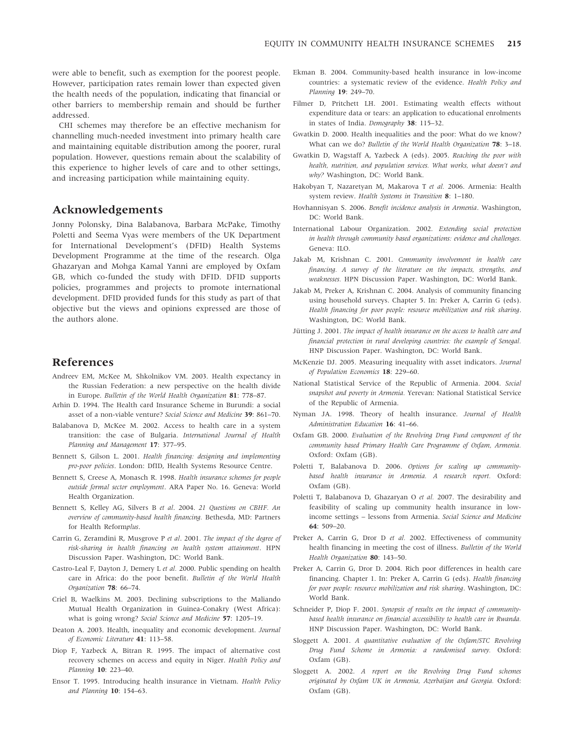were able to benefit, such as exemption for the poorest people. However, participation rates remain lower than expected given the health needs of the population, indicating that financial or other barriers to membership remain and should be further addressed.

CHI schemes may therefore be an effective mechanism for channelling much-needed investment into primary health care and maintaining equitable distribution among the poorer, rural population. However, questions remain about the scalability of this experience to higher levels of care and to other settings, and increasing participation while maintaining equity.

# Acknowledgements

Jonny Polonsky, Dina Balabanova, Barbara McPake, Timothy Poletti and Seema Vyas were members of the UK Department for International Development's (DFID) Health Systems Development Programme at the time of the research. Olga Ghazaryan and Mohga Kamal Yanni are employed by Oxfam GB, which co-funded the study with DFID. DFID supports policies, programmes and projects to promote international development. DFID provided funds for this study as part of that objective but the views and opinions expressed are those of the authors alone.

# References

- Andreev EM, McKee M, Shkolnikov VM. 2003. Health expectancy in the Russian Federation: a new perspective on the health divide in Europe. Bulletin of the World Health Organization 81: 778–87.
- Arhin D. 1994. The Health card Insurance Scheme in Burundi: a social asset of a non-viable venture? Social Science and Medicine 39: 861–70.
- Balabanova D, McKee M. 2002. Access to health care in a system transition: the case of Bulgaria. International Journal of Health Planning and Management 17: 377–95.
- Bennett S, Gilson L. 2001. Health financing: designing and implementing pro-poor policies. London: DfID, Health Systems Resource Centre.
- Bennett S, Creese A, Monasch R. 1998. Health insurance schemes for people outside formal sector employment. ARA Paper No. 16. Geneva: World Health Organization.
- Bennett S, Kelley AG, Silvers B et al. 2004. 21 Questions on CBHF. An overview of community-based health financing. Bethesda, MD: Partners for Health Reformplus.
- Carrin G, Zeramdini R, Musgrove P et al. 2001. The impact of the degree of risk-sharing in health financing on health system attainment. HPN Discussion Paper. Washington, DC: World Bank.
- Castro-Leal F, Dayton J, Demery L et al. 2000. Public spending on health care in Africa: do the poor benefit. Bulletin of the World Health Organization 78: 66–74.
- Criel B, Waelkins M. 2003. Declining subscriptions to the Maliando Mutual Health Organization in Guinea-Conakry (West Africa): what is going wrong? Social Science and Medicine 57: 1205–19.
- Deaton A. 2003. Health, inequality and economic development. Journal of Economic Literature 41: 113–58.
- Diop F, Yazbeck A, Bitran R. 1995. The impact of alternative cost recovery schemes on access and equity in Niger. Health Policy and Planning 10: 223–40.
- Ensor T. 1995. Introducing health insurance in Vietnam. Health Policy and Planning 10: 154–63.
- Ekman B. 2004. Community-based health insurance in low-income countries: a systematic review of the evidence. Health Policy and Planning 19: 249–70.
- Filmer D, Pritchett LH. 2001. Estimating wealth effects without expenditure data or tears: an application to educational enrolments in states of India. Demography 38: 115–32.
- Gwatkin D. 2000. Health inequalities and the poor: What do we know? What can we do? Bulletin of the World Health Organization 78: 3–18.
- Gwatkin D, Wagstaff A, Yazbeck A (eds). 2005. Reaching the poor with health, nutrition, and population services. What works, what doesn't and why? Washington, DC: World Bank.
- Hakobyan T, Nazaretyan M, Makarova T et al. 2006. Armenia: Health system review. Health Systems in Transition 8: 1–180.
- Hovhannisyan S. 2006. Benefit incidence analysis in Armenia. Washington, DC: World Bank.
- International Labour Organization. 2002. Extending social protection in health through community based organizations: evidence and challenges. Geneva: ILO.
- Jakab M, Krishnan C. 2001. Community involvement in health care financing. A survey of the literature on the impacts, strengths, and weaknesses. HPN Discussion Paper. Washington, DC: World Bank.
- Jakab M, Preker A, Krishnan C. 2004. Analysis of community financing using household surveys. Chapter 5. In: Preker A, Carrin G (eds). Health financing for poor people: resource mobilization and risk sharing. Washington, DC: World Bank.
- Jütting J. 2001. The impact of health insurance on the access to health care and financial protection in rural developing countries: the example of Senegal. HNP Discussion Paper. Washington, DC: World Bank.
- McKenzie DJ. 2005. Measuring inequality with asset indicators. Journal of Population Economics 18: 229–60.
- National Statistical Service of the Republic of Armenia. 2004. Social snapshot and poverty in Armenia. Yerevan: National Statistical Service of the Republic of Armenia.
- Nyman JA. 1998. Theory of health insurance. Journal of Health Administration Education 16: 41–66.
- Oxfam GB. 2000. Evaluation of the Revolving Drug Fund component of the community based Primary Health Care Programme of Oxfam, Armenia. Oxford: Oxfam (GB).
- Poletti T, Balabanova D. 2006. Options for scaling up communitybased health insurance in Armenia. A research report. Oxford: Oxfam (GB).
- Poletti T, Balabanova D, Ghazaryan O et al. 2007. The desirability and feasibility of scaling up community health insurance in lowincome settings – lessons from Armenia. Social Science and Medicine  $64.509 - 20$
- Preker A, Carrin G, Dror D et al. 2002. Effectiveness of community health financing in meeting the cost of illness. Bulletin of the World Health Organization 80: 143–50.
- Preker A, Carrin G, Dror D. 2004. Rich poor differences in health care financing. Chapter 1. In: Preker A, Carrin G (eds). Health financing for poor people: resource mobilization and risk sharing. Washington, DC: World Bank.
- Schneider P, Diop F. 2001. Synopsis of results on the impact of communitybased health insurance on financial accessibility to health care in Rwanda. HNP Discussion Paper. Washington, DC: World Bank.
- Sloggett A. 2001. A quantitative evaluation of the Oxfam/STC Revolving Drug Fund Scheme in Armenia: a randomised survey. Oxford: Oxfam (GB).
- Sloggett A. 2002. A report on the Revolving Drug Fund schemes originated by Oxfam UK in Armenia, Azerbaijan and Georgia. Oxford: Oxfam (GB).